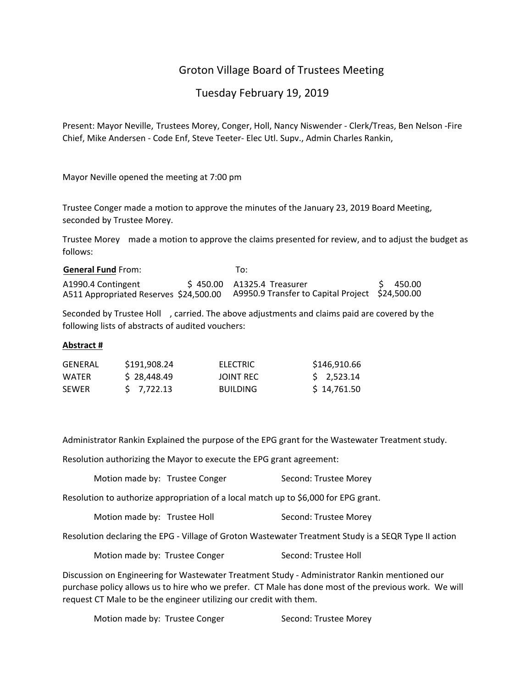# Groton Village Board of Trustees Meeting

# Tuesday February 19, 2019

Present: Mayor Neville, Trustees Morey, Conger, Holl, Nancy Niswender ‐ Clerk/Treas, Ben Nelson ‐Fire Chief, Mike Andersen ‐ Code Enf, Steve Teeter‐ Elec Utl. Supv., Admin Charles Rankin,

Mayor Neville opened the meeting at 7:00 pm

Trustee Conger made a motion to approve the minutes of the January 23, 2019 Board Meeting, seconded by Trustee Morey.

Trustee Morey made a motion to approve the claims presented for review, and to adjust the budget as follows:

| <b>General Fund From:</b>                                    | To:                                                                           |          |
|--------------------------------------------------------------|-------------------------------------------------------------------------------|----------|
| A1990.4 Contingent<br>A511 Appropriated Reserves \$24,500.00 | \$450.00 A1325.4 Treasurer<br>A9950.9 Transfer to Capital Project \$24,500.00 | \$450.00 |

Seconded by Trustee Holl , carried. The above adjustments and claims paid are covered by the following lists of abstracts of audited vouchers:

#### **Abstract #**

| GFNFRAL      | \$191.908.24 | ELECTRIC        | \$146,910.66 |
|--------------|--------------|-----------------|--------------|
| WATFR        | \$28,448.49  | JOINT REC       | $5$ 2.523.14 |
| <b>SEWER</b> | $5$ 7.722.13 | <b>BUILDING</b> | \$14,761.50  |

Administrator Rankin Explained the purpose of the EPG grant for the Wastewater Treatment study.

Resolution authorizing the Mayor to execute the EPG grant agreement:

Motion made by: Trustee Conger Second: Trustee Morey

Resolution to authorize appropriation of a local match up to \$6,000 for EPG grant.

| Motion made by: Trustee Holl | Second: Trustee Morey |
|------------------------------|-----------------------|
|------------------------------|-----------------------|

Resolution declaring the EPG ‐ Village of Groton Wastewater Treatment Study is a SEQR Type II action

| Motion made by: Trustee Conger |  | Second: Trustee Holl |
|--------------------------------|--|----------------------|
|--------------------------------|--|----------------------|

Discussion on Engineering for Wastewater Treatment Study ‐ Administrator Rankin mentioned our purchase policy allows us to hire who we prefer. CT Male has done most of the previous work. We will request CT Male to be the engineer utilizing our credit with them.

Motion made by: Trustee Conger **Second: Trustee Morey**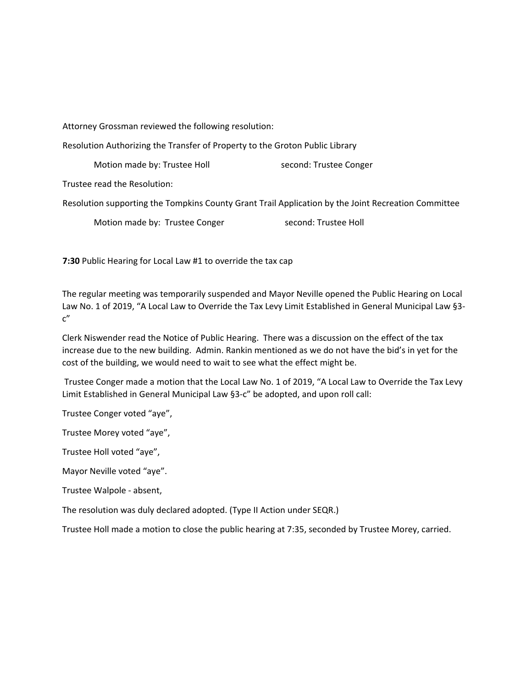Attorney Grossman reviewed the following resolution:

Resolution Authorizing the Transfer of Property to the Groton Public Library

Motion made by: Trustee Holl **South American** second: Trustee Conger

Trustee read the Resolution:

Resolution supporting the Tompkins County Grant Trail Application by the Joint Recreation Committee

Motion made by: Trustee Conger **by a second: Trustee Holl** 

**7:30** Public Hearing for Local Law #1 to override the tax cap

The regular meeting was temporarily suspended and Mayor Neville opened the Public Hearing on Local Law No. 1 of 2019, "A Local Law to Override the Tax Levy Limit Established in General Municipal Law §3‐ c"

Clerk Niswender read the Notice of Public Hearing. There was a discussion on the effect of the tax increase due to the new building. Admin. Rankin mentioned as we do not have the bid's in yet for the cost of the building, we would need to wait to see what the effect might be.

Trustee Conger made a motion that the Local Law No. 1 of 2019, "A Local Law to Override the Tax Levy Limit Established in General Municipal Law §3‐c" be adopted, and upon roll call:

Trustee Conger voted "aye",

Trustee Morey voted "aye",

Trustee Holl voted "aye",

Mayor Neville voted "aye".

Trustee Walpole ‐ absent,

The resolution was duly declared adopted. (Type II Action under SEQR.)

Trustee Holl made a motion to close the public hearing at 7:35, seconded by Trustee Morey, carried.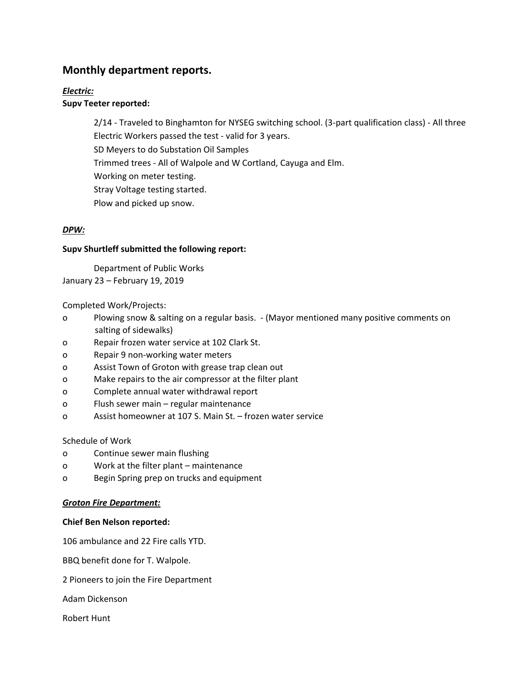# **Monthly department reports.**

# *Electric:*

# **Supv Teeter reported:**

2/14 ‐ Traveled to Binghamton for NYSEG switching school. (3‐part qualification class) ‐ All three Electric Workers passed the test ‐ valid for 3 years. SD Meyers to do Substation Oil Samples Trimmed trees ‐ All of Walpole and W Cortland, Cayuga and Elm. Working on meter testing. Stray Voltage testing started. Plow and picked up snow.

# *DPW:*

## **Supv Shurtleff submitted the following report:**

Department of Public Works January 23 – February 19, 2019

## Completed Work/Projects:

- o Plowing snow & salting on a regular basis. ‐ (Mayor mentioned many positive comments on salting of sidewalks)
- o Repair frozen water service at 102 Clark St.
- o Repair 9 non‐working water meters
- o Assist Town of Groton with grease trap clean out
- o Make repairs to the air compressor at the filter plant
- o Complete annual water withdrawal report
- o Flush sewer main regular maintenance
- o Assist homeowner at 107 S. Main St. frozen water service

## Schedule of Work

- o Continue sewer main flushing
- o Work at the filter plant maintenance
- o Begin Spring prep on trucks and equipment

#### *Groton Fire Department:*

#### **Chief Ben Nelson reported:**

106 ambulance and 22 Fire calls YTD.

BBQ benefit done for T. Walpole.

2 Pioneers to join the Fire Department

Adam Dickenson

Robert Hunt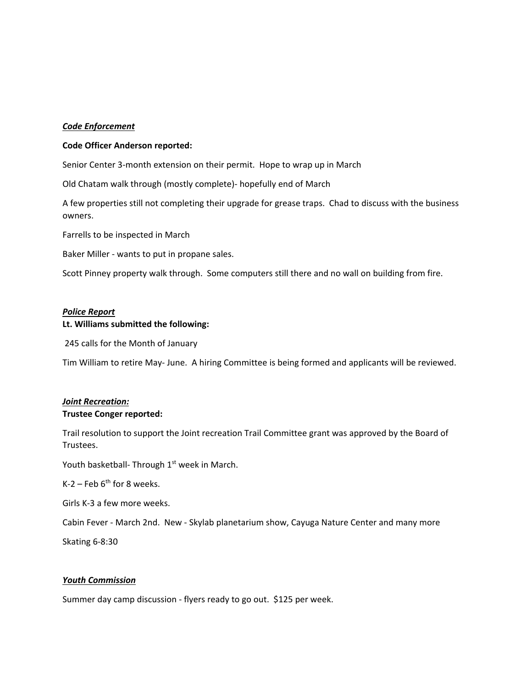#### *Code Enforcement*

#### **Code Officer Anderson reported:**

Senior Center 3‐month extension on their permit. Hope to wrap up in March

Old Chatam walk through (mostly complete)‐ hopefully end of March

A few properties still not completing their upgrade for grease traps. Chad to discuss with the business owners.

Farrells to be inspected in March

Baker Miller ‐ wants to put in propane sales.

Scott Pinney property walk through. Some computers still there and no wall on building from fire.

#### *Police Report*

#### **Lt. Williams submitted the following:**

245 calls for the Month of January

Tim William to retire May‐ June. A hiring Committee is being formed and applicants will be reviewed.

### *Joint Recreation:* **Trustee Conger reported:**

Trail resolution to support the Joint recreation Trail Committee grant was approved by the Board of Trustees.

Youth basketball- Through 1<sup>st</sup> week in March.

K-2 – Feb  $6<sup>th</sup>$  for 8 weeks.

Girls K‐3 a few more weeks.

Cabin Fever ‐ March 2nd. New ‐ Skylab planetarium show, Cayuga Nature Center and many more

Skating 6‐8:30

#### *Youth Commission*

Summer day camp discussion - flyers ready to go out. \$125 per week.